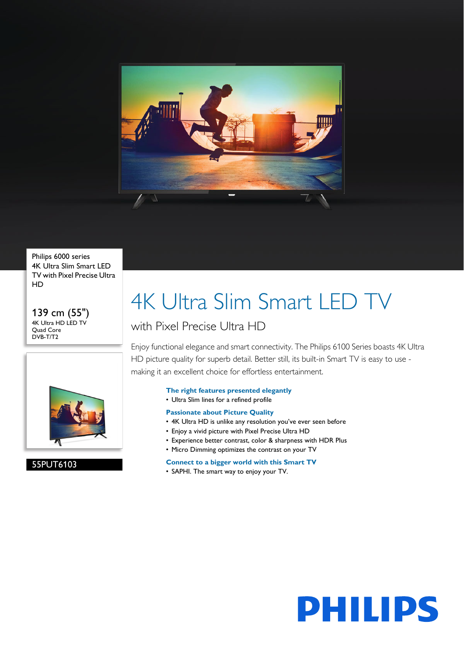

Philips 6000 series 4K Ultra Slim Smart LED TV with Pixel Precise Ultra HD

139 cm (55") 4K Ultra HD LED TV Quad Core DVB-T/T2



55PUT6103

# 4K Ultra Slim Smart LED TV

### with Pixel Precise Ultra HD

Enjoy functional elegance and smart connectivity. The Philips 6100 Series boasts 4K Ultra HD picture quality for superb detail. Better still, its built-in Smart TV is easy to use making it an excellent choice for effortless entertainment.

### **The right features presented elegantly**

• Ultra Slim lines for a refined profile

### **Passionate about Picture Quality**

- 4K Ultra HD is unlike any resolution you've ever seen before
- Enjoy a vivid picture with Pixel Precise Ultra HD
- Experience better contrast, color & sharpness with HDR Plus
- Micro Dimming optimizes the contrast on your TV

### **Connect to a bigger world with this Smart TV**

• SAPHI. The smart way to enjoy your TV.

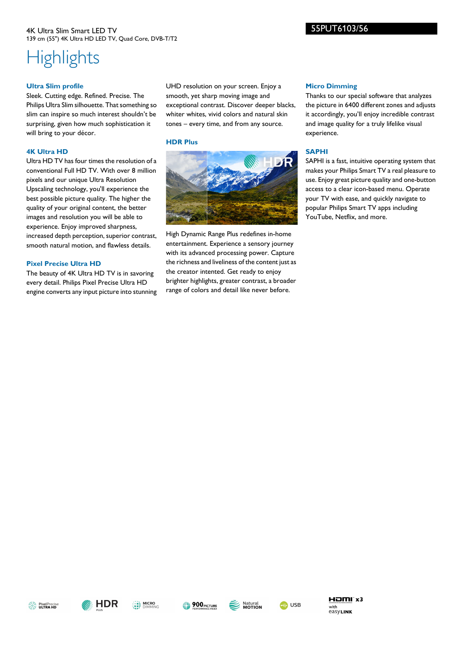### 4K Ultra Slim Smart LED TV 139 cm (55") 4K Ultra HD LED TV, Quad Core, DVB-T/T2

## **Highlights**

### **Ultra Slim profile**

Sleek. Cutting edge. Refined. Precise. The Philips Ultra Slim silhouette. That something so slim can inspire so much interest shouldn't be surprising, given how much sophistication it will bring to your décor.

### **4K Ultra HD**

Ultra HD TV has four times the resolution of a conventional Full HD TV. With over 8 million pixels and our unique Ultra Resolution Upscaling technology, you'll experience the best possible picture quality. The higher the quality of your original content, the better images and resolution you will be able to experience. Enjoy improved sharpness, increased depth perception, superior contrast, smooth natural motion, and flawless details.

### **Pixel Precise Ultra HD**

The beauty of 4K Ultra HD TV is in savoring every detail. Philips Pixel Precise Ultra HD engine converts any input picture into stunning

UHD resolution on your screen. Enjoy a smooth, yet sharp moving image and exceptional contrast. Discover deeper blacks, whiter whites, vivid colors and natural skin tones – every time, and from any source.

### **HDR Plus**



High Dynamic Range Plus redefines in-home entertainment. Experience a sensory journey with its advanced processing power. Capture the richness and liveliness of the content just as the creator intented. Get ready to enjoy brighter highlights, greater contrast, a broader range of colors and detail like never before.

### **Micro Dimming**

55PUT6103/56

Thanks to our special software that analyzes the picture in 6400 different zones and adjusts it accordingly, you'll enjoy incredible contrast and image quality for a truly lifelike visual experience.

### **SAPHI**

SAPHI is a fast, intuitive operating system that makes your Philips Smart TV a real pleasure to use. Enjoy great picture quality and one-button access to a clear icon-based menu. Operate your TV with ease, and quickly navigate to popular Philips Smart TV apps including YouTube, Netflix, and more.